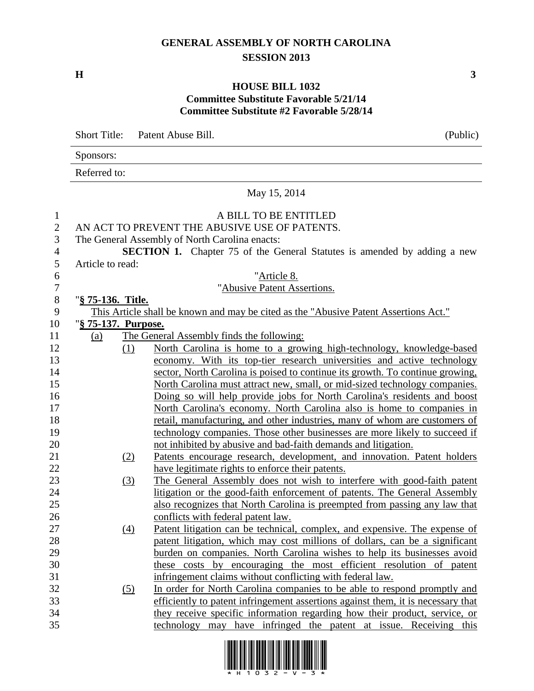## **GENERAL ASSEMBLY OF NORTH CAROLINA SESSION 2013**

**H 3**

## **HOUSE BILL 1032 Committee Substitute Favorable 5/21/14 Committee Substitute #2 Favorable 5/28/14**

Short Title: Patent Abuse Bill. (Public) Sponsors: Referred to: May 15, 2014 A BILL TO BE ENTITLED AN ACT TO PREVENT THE ABUSIVE USE OF PATENTS. The General Assembly of North Carolina enacts: **SECTION 1.** Chapter 75 of the General Statutes is amended by adding a new Article to read: "Article 8. "Abusive Patent Assertions. "**§ 75-136. Title.** This Article shall be known and may be cited as the "Abusive Patent Assertions Act." "**§ 75-137. Purpose.** (a) The General Assembly finds the following: (1) North Carolina is home to a growing high-technology, knowledge-based economy. With its top-tier research universities and active technology sector, North Carolina is poised to continue its growth. To continue growing, North Carolina must attract new, small, or mid-sized technology companies. Doing so will help provide jobs for North Carolina's residents and boost North Carolina's economy. North Carolina also is home to companies in retail, manufacturing, and other industries, many of whom are customers of technology companies. Those other businesses are more likely to succeed if not inhibited by abusive and bad-faith demands and litigation. (2) Patents encourage research, development, and innovation. Patent holders have legitimate rights to enforce their patents. (3) The General Assembly does not wish to interfere with good-faith patent litigation or the good-faith enforcement of patents. The General Assembly also recognizes that North Carolina is preempted from passing any law that conflicts with federal patent law. (4) Patent litigation can be technical, complex, and expensive. The expense of patent litigation, which may cost millions of dollars, can be a significant burden on companies. North Carolina wishes to help its businesses avoid these costs by encouraging the most efficient resolution of patent infringement claims without conflicting with federal law. (5) In order for North Carolina companies to be able to respond promptly and efficiently to patent infringement assertions against them, it is necessary that they receive specific information regarding how their product, service, or technology may have infringed the patent at issue. Receiving this

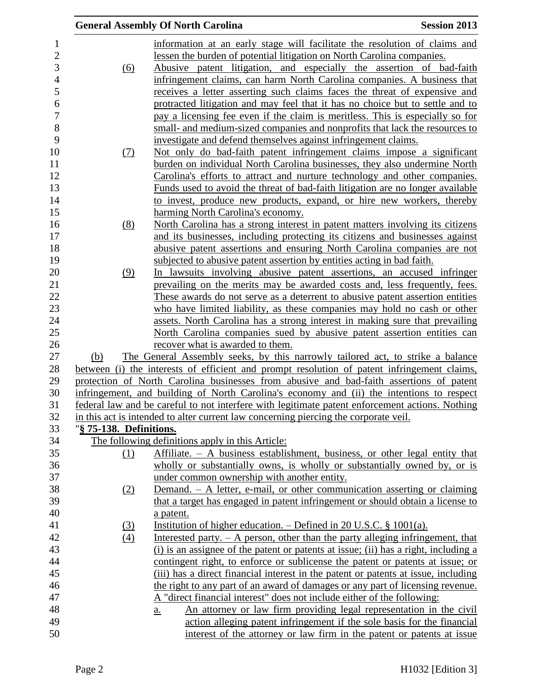|                                |                         | <b>General Assembly Of North Carolina</b>                                                                                                                                                    | <b>Session 2013</b> |
|--------------------------------|-------------------------|----------------------------------------------------------------------------------------------------------------------------------------------------------------------------------------------|---------------------|
| $\mathbf{1}$<br>$\overline{c}$ |                         | information at an early stage will facilitate the resolution of claims and<br>lessen the burden of potential litigation on North Carolina companies.                                         |                     |
| 3                              | (6)                     | Abusive patent litigation, and especially the assertion of bad-faith                                                                                                                         |                     |
| $\overline{4}$                 |                         | infringement claims, can harm North Carolina companies. A business that                                                                                                                      |                     |
| 5                              |                         | receives a letter asserting such claims faces the threat of expensive and                                                                                                                    |                     |
| 6                              |                         | protracted litigation and may feel that it has no choice but to settle and to                                                                                                                |                     |
| $\boldsymbol{7}$               |                         | pay a licensing fee even if the claim is meritless. This is especially so for                                                                                                                |                     |
| 8                              |                         | small- and medium-sized companies and nonprofits that lack the resources to                                                                                                                  |                     |
| 9                              |                         | investigate and defend themselves against infringement claims.                                                                                                                               |                     |
| 10                             | <u>(7)</u>              | Not only do bad-faith patent infringement claims impose a significant                                                                                                                        |                     |
| 11                             |                         | burden on individual North Carolina businesses, they also undermine North                                                                                                                    |                     |
| 12                             |                         | Carolina's efforts to attract and nurture technology and other companies.                                                                                                                    |                     |
| 13<br>14                       |                         | Funds used to avoid the threat of bad-faith litigation are no longer available<br>to invest, produce new products, expand, or hire new workers, thereby                                      |                     |
| 15                             |                         | harming North Carolina's economy.                                                                                                                                                            |                     |
| 16                             | (8)                     | North Carolina has a strong interest in patent matters involving its citizens                                                                                                                |                     |
| 17                             |                         | and its businesses, including protecting its citizens and businesses against                                                                                                                 |                     |
| 18                             |                         | abusive patent assertions and ensuring North Carolina companies are not                                                                                                                      |                     |
| 19                             |                         | subjected to abusive patent assertion by entities acting in bad faith.                                                                                                                       |                     |
| 20                             | (9)                     | In lawsuits involving abusive patent assertions, an accused infringer                                                                                                                        |                     |
| 21                             |                         | prevailing on the merits may be awarded costs and, less frequently, fees.                                                                                                                    |                     |
| 22                             |                         | These awards do not serve as a deterrent to abusive patent assertion entities                                                                                                                |                     |
| 23                             |                         | who have limited liability, as these companies may hold no cash or other                                                                                                                     |                     |
| 24                             |                         | assets. North Carolina has a strong interest in making sure that prevailing                                                                                                                  |                     |
| 25                             |                         | North Carolina companies sued by abusive patent assertion entities can                                                                                                                       |                     |
| 26                             |                         | recover what is awarded to them.                                                                                                                                                             |                     |
| 27                             | (b)                     | The General Assembly seeks, by this narrowly tailored act, to strike a balance                                                                                                               |                     |
| 28                             |                         | between (i) the interests of efficient and prompt resolution of patent infringement claims,                                                                                                  |                     |
| 29<br>30                       |                         | protection of North Carolina businesses from abusive and bad-faith assertions of patent                                                                                                      |                     |
| 31                             |                         | infringement, and building of North Carolina's economy and (ii) the intentions to respect<br>federal law and be careful to not interfere with legitimate patent enforcement actions. Nothing |                     |
| 32                             |                         | in this act is intended to alter current law concerning piercing the corporate veil.                                                                                                         |                     |
| 33                             | "§ 75-138. Definitions. |                                                                                                                                                                                              |                     |
| 34                             |                         | The following definitions apply in this Article:                                                                                                                                             |                     |
| 35                             | (1)                     | Affiliate. $- A$ business establishment, business, or other legal entity that                                                                                                                |                     |
| 36                             |                         | wholly or substantially owns, is wholly or substantially owned by, or is                                                                                                                     |                     |
| 37                             |                         | under common ownership with another entity.                                                                                                                                                  |                     |
| 38                             | (2)                     | Demand. - A letter, e-mail, or other communication asserting or claiming                                                                                                                     |                     |
| 39                             |                         | that a target has engaged in patent infringement or should obtain a license to                                                                                                               |                     |
| 40                             |                         | a patent.                                                                                                                                                                                    |                     |
| 41                             | (3)                     | Institution of higher education. $-$ Defined in 20 U.S.C. § 1001(a).                                                                                                                         |                     |
| 42                             | (4)                     | Interested party. $- A$ person, other than the party alleging infringement, that                                                                                                             |                     |
| 43                             |                         | (i) is an assignee of the patent or patents at issue; (ii) has a right, including a                                                                                                          |                     |
| 44                             |                         | contingent right, to enforce or sublicense the patent or patents at issue; or                                                                                                                |                     |
| 45                             |                         | (iii) has a direct financial interest in the patent or patents at issue, including                                                                                                           |                     |
| 46                             |                         | the right to any part of an award of damages or any part of licensing revenue.                                                                                                               |                     |
| 47<br>48                       |                         | A "direct financial interest" does not include either of the following:<br>An attorney or law firm providing legal representation in the civil                                               |                     |
| 49                             |                         | a.<br>action alleging patent infringement if the sole basis for the financial                                                                                                                |                     |
| 50                             |                         | interest of the attorney or law firm in the patent or patents at issue                                                                                                                       |                     |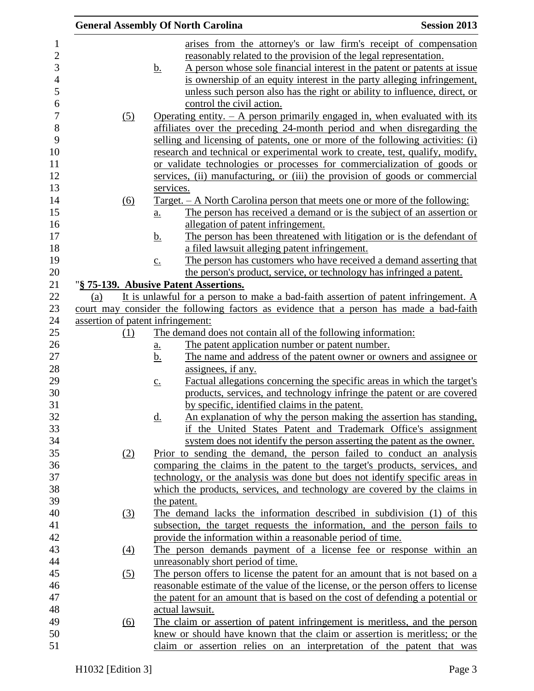|                                   |                            | <b>General Assembly Of North Carolina</b>                                                                              | <b>Session 2013</b> |
|-----------------------------------|----------------------------|------------------------------------------------------------------------------------------------------------------------|---------------------|
|                                   |                            | arises from the attorney's or law firm's receipt of compensation                                                       |                     |
|                                   |                            | reasonably related to the provision of the legal representation.                                                       |                     |
|                                   | <u>b.</u>                  | A person whose sole financial interest in the patent or patents at issue                                               |                     |
|                                   |                            | is ownership of an equity interest in the party alleging infringement,                                                 |                     |
|                                   |                            | unless such person also has the right or ability to influence, direct, or                                              |                     |
|                                   |                            | control the civil action.                                                                                              |                     |
| (5)                               |                            | Operating entity. $-$ A person primarily engaged in, when evaluated with its                                           |                     |
|                                   |                            | affiliates over the preceding 24-month period and when disregarding the                                                |                     |
|                                   |                            | selling and licensing of patents, one or more of the following activities: (i)                                         |                     |
|                                   |                            | research and technical or experimental work to create, test, qualify, modify,                                          |                     |
|                                   |                            | or validate technologies or processes for commercialization of goods or                                                |                     |
|                                   |                            | services, (ii) manufacturing, or (iii) the provision of goods or commercial                                            |                     |
|                                   | services.                  |                                                                                                                        |                     |
| (6)                               |                            | <u>Target. – A North Carolina person that meets one or more of the following:</u>                                      |                     |
|                                   | $\underline{a}$ .          | The person has received a demand or is the subject of an assertion or                                                  |                     |
|                                   |                            | allegation of patent infringement.                                                                                     |                     |
|                                   | <u>b.</u>                  | The person has been threatened with litigation or is the defendant of                                                  |                     |
|                                   |                            | a filed lawsuit alleging patent infringement.                                                                          |                     |
|                                   | $\underline{c}$ .          | The person has customers who have received a demand asserting that                                                     |                     |
|                                   |                            | the person's product, service, or technology has infringed a patent.                                                   |                     |
|                                   |                            | "§ 75-139. Abusive Patent Assertions.                                                                                  |                     |
| (a)                               |                            | It is unlawful for a person to make a bad-faith assertion of patent infringement. A                                    |                     |
|                                   |                            | court may consider the following factors as evidence that a person has made a bad-faith                                |                     |
| assertion of patent infringement: |                            |                                                                                                                        |                     |
| (1)                               |                            | The demand does not contain all of the following information:                                                          |                     |
|                                   | $\underline{\mathbf{a}}$ . | The patent application number or patent number.                                                                        |                     |
|                                   | <u>b.</u>                  | The name and address of the patent owner or owners and assignee or                                                     |                     |
|                                   |                            | assignees, if any.                                                                                                     |                     |
|                                   | $\underline{c}$ .          | Factual allegations concerning the specific areas in which the target's                                                |                     |
|                                   |                            | products, services, and technology infringe the patent or are covered<br>by specific, identified claims in the patent. |                     |
|                                   | <u>d.</u>                  | An explanation of why the person making the assertion has standing,                                                    |                     |
|                                   |                            | if the United States Patent and Trademark Office's assignment                                                          |                     |
|                                   |                            | system does not identify the person asserting the patent as the owner.                                                 |                     |
| (2)                               |                            | Prior to sending the demand, the person failed to conduct an analysis                                                  |                     |
|                                   |                            | comparing the claims in the patent to the target's products, services, and                                             |                     |
|                                   |                            | technology, or the analysis was done but does not identify specific areas in                                           |                     |
|                                   |                            | which the products, services, and technology are covered by the claims in                                              |                     |
|                                   |                            | the patent.                                                                                                            |                     |
| <u>(3)</u>                        |                            | The demand lacks the information described in subdivision (1) of this                                                  |                     |
|                                   |                            | subsection, the target requests the information, and the person fails to                                               |                     |
|                                   |                            | provide the information within a reasonable period of time.                                                            |                     |
| $\underline{(4)}$                 |                            | The person demands payment of a license fee or response within an                                                      |                     |
|                                   |                            | unreasonably short period of time.                                                                                     |                     |
| (5)                               |                            | The person offers to license the patent for an amount that is not based on a                                           |                     |
|                                   |                            | reasonable estimate of the value of the license, or the person offers to license                                       |                     |
|                                   |                            | the patent for an amount that is based on the cost of defending a potential or                                         |                     |
|                                   |                            | actual lawsuit.                                                                                                        |                     |
| (6)                               |                            | The claim or assertion of patent infringement is meritless, and the person                                             |                     |
|                                   |                            | knew or should have known that the claim or assertion is meritless; or the                                             |                     |
|                                   |                            | claim or assertion relies on an interpretation of the patent that was                                                  |                     |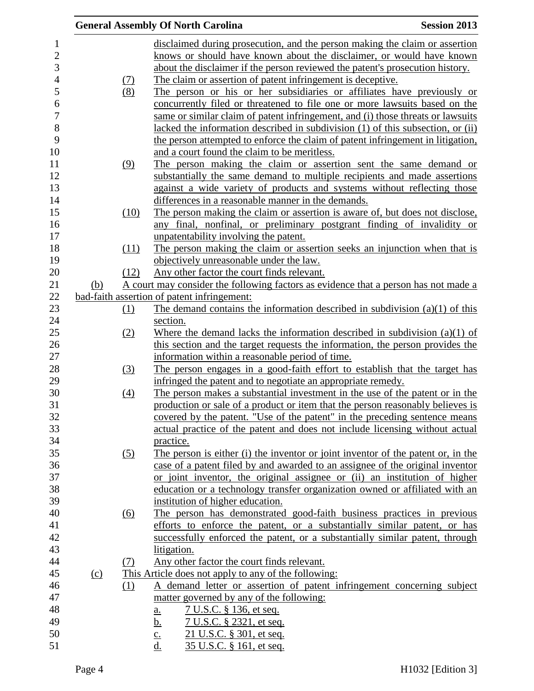|     |                   | <b>General Assembly Of North Carolina</b><br><b>Session 2013</b>                    |  |
|-----|-------------------|-------------------------------------------------------------------------------------|--|
|     |                   | disclaimed during prosecution, and the person making the claim or assertion         |  |
|     |                   | knows or should have known about the disclaimer, or would have known                |  |
|     |                   | about the disclaimer if the person reviewed the patent's prosecution history.       |  |
|     |                   | The claim or assertion of patent infringement is deceptive.                         |  |
|     | $\frac{(7)}{(8)}$ | The person or his or her subsidiaries or affiliates have previously or              |  |
|     |                   |                                                                                     |  |
|     |                   | concurrently filed or threatened to file one or more lawsuits based on the          |  |
|     |                   | same or similar claim of patent infringement, and (i) those threats or lawsuits     |  |
|     |                   | lacked the information described in subdivision (1) of this subsection, or (ii)     |  |
|     |                   | the person attempted to enforce the claim of patent infringement in litigation,     |  |
|     |                   | and a court found the claim to be meritless.                                        |  |
|     | (9)               | The person making the claim or assertion sent the same demand or                    |  |
|     |                   | substantially the same demand to multiple recipients and made assertions            |  |
|     |                   | against a wide variety of products and systems without reflecting those             |  |
|     |                   | differences in a reasonable manner in the demands.                                  |  |
|     | (10)              | The person making the claim or assertion is aware of, but does not disclose,        |  |
|     |                   | any final, nonfinal, or preliminary postgrant finding of invalidity or              |  |
|     |                   | unpatentability involving the patent.                                               |  |
|     | (11)              | The person making the claim or assertion seeks an injunction when that is           |  |
|     |                   | objectively unreasonable under the law.                                             |  |
|     | (12)              | Any other factor the court finds relevant.                                          |  |
| (b) |                   | A court may consider the following factors as evidence that a person has not made a |  |
|     |                   | bad-faith assertion of patent infringement:                                         |  |
|     | (1)               | The demand contains the information described in subdivision $(a)(1)$ of this       |  |
|     |                   | section.                                                                            |  |
|     | (2)               | Where the demand lacks the information described in subdivision $(a)(1)$ of         |  |
|     |                   | this section and the target requests the information, the person provides the       |  |
|     |                   | information within a reasonable period of time.                                     |  |
|     | (3)               | The person engages in a good-faith effort to establish that the target has          |  |
|     |                   | infringed the patent and to negotiate an appropriate remedy.                        |  |
|     | (4)               | The person makes a substantial investment in the use of the patent or in the        |  |
|     |                   | production or sale of a product or item that the person reasonably believes is      |  |
|     |                   | covered by the patent. "Use of the patent" in the preceding sentence means          |  |
|     |                   | actual practice of the patent and does not include licensing without actual         |  |
|     |                   | practice.                                                                           |  |
|     | (5)               | The person is either (i) the inventor or joint inventor of the patent or, in the    |  |
|     |                   | case of a patent filed by and awarded to an assignee of the original inventor       |  |
|     |                   | or joint inventor, the original assignee or (ii) an institution of higher           |  |
|     |                   | education or a technology transfer organization owned or affiliated with an         |  |
|     |                   | institution of higher education.                                                    |  |
|     | <u>(6)</u>        | The person has demonstrated good-faith business practices in previous               |  |
|     |                   | efforts to enforce the patent, or a substantially similar patent, or has            |  |
|     |                   | successfully enforced the patent, or a substantially similar patent, through        |  |
|     |                   | litigation.                                                                         |  |
|     | (7)               | Any other factor the court finds relevant.                                          |  |
| (c) |                   | This Article does not apply to any of the following:                                |  |
|     | (1)               | A demand letter or assertion of patent infringement concerning subject              |  |
|     |                   | matter governed by any of the following:                                            |  |
|     |                   |                                                                                     |  |
|     |                   | <u>7 U.S.C. § 136, et seq.</u><br>$\underline{\mathbf{a}}$ .                        |  |
|     |                   | <u>7 U.S.C. § 2321, et seq.</u><br><u>b.</u>                                        |  |
|     |                   | 21 U.S.C. § 301, et seq.<br>$\underline{c}$ .<br>d.                                 |  |
|     |                   | 35 U.S.C. § 161, et seq.                                                            |  |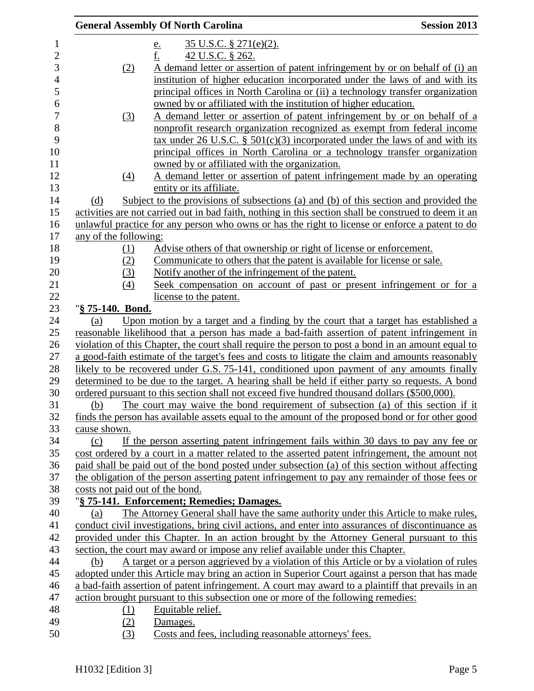|                          |                                 | <b>General Assembly Of North Carolina</b>                                                             | <b>Session 2013</b> |
|--------------------------|---------------------------------|-------------------------------------------------------------------------------------------------------|---------------------|
| $\mathbf{1}$             |                                 | 35 U.S.C. § 271(e)(2).<br><u>e.</u>                                                                   |                     |
| $\overline{2}$           |                                 | f.<br>42 U.S.C. § 262.                                                                                |                     |
| 3                        | (2)                             | A demand letter or assertion of patent infringement by or on behalf of (i) an                         |                     |
| $\overline{\mathcal{L}}$ |                                 | institution of higher education incorporated under the laws of and with its                           |                     |
| 5                        |                                 | principal offices in North Carolina or (ii) a technology transfer organization                        |                     |
| 6                        |                                 | owned by or affiliated with the institution of higher education.                                      |                     |
| 7                        | (3)                             | A demand letter or assertion of patent infringement by or on behalf of a                              |                     |
| 8                        |                                 | nonprofit research organization recognized as exempt from federal income                              |                     |
| 9                        |                                 | tax under 26 U.S.C. $\S$ 501(c)(3) incorporated under the laws of and with its                        |                     |
| 10                       |                                 | principal offices in North Carolina or a technology transfer organization                             |                     |
| 11                       |                                 | owned by or affiliated with the organization.                                                         |                     |
| 12                       | $\underline{(4)}$               | A demand letter or assertion of patent infringement made by an operating                              |                     |
| 13                       |                                 | entity or its affiliate.                                                                              |                     |
| 14                       | (d)                             | Subject to the provisions of subsections (a) and (b) of this section and provided the                 |                     |
| 15                       |                                 | activities are not carried out in bad faith, nothing in this section shall be construed to deem it an |                     |
| 16                       |                                 | unlawful practice for any person who owns or has the right to license or enforce a patent to do       |                     |
| 17                       | any of the following:           |                                                                                                       |                     |
| 18                       | (1)                             | Advise others of that ownership or right of license or enforcement.                                   |                     |
| 19                       | (2)                             | Communicate to others that the patent is available for license or sale.                               |                     |
| 20                       | (3)                             | Notify another of the infringement of the patent.                                                     |                     |
| 21                       | (4)                             | Seek compensation on account of past or present infringement or for a                                 |                     |
| 22                       |                                 | license to the patent.                                                                                |                     |
| 23                       | "§ 75-140. Bond.                |                                                                                                       |                     |
| 24                       | (a)                             | Upon motion by a target and a finding by the court that a target has established a                    |                     |
| 25                       |                                 | reasonable likelihood that a person has made a bad-faith assertion of patent infringement in          |                     |
| 26                       |                                 | violation of this Chapter, the court shall require the person to post a bond in an amount equal to    |                     |
| 27                       |                                 | a good-faith estimate of the target's fees and costs to litigate the claim and amounts reasonably     |                     |
| 28                       |                                 | likely to be recovered under G.S. 75-141, conditioned upon payment of any amounts finally             |                     |
| 29                       |                                 | determined to be due to the target. A hearing shall be held if either party so requests. A bond       |                     |
| 30                       |                                 | ordered pursuant to this section shall not exceed five hundred thousand dollars (\$500,000).          |                     |
| 31                       | (b)                             | The court may waive the bond requirement of subsection (a) of this section if it                      |                     |
| 32                       |                                 | finds the person has available assets equal to the amount of the proposed bond or for other good      |                     |
| 33                       | cause shown.                    |                                                                                                       |                     |
| 34                       | (c)                             | If the person asserting patent infringement fails within 30 days to pay any fee or                    |                     |
| 35                       |                                 | cost ordered by a court in a matter related to the asserted patent infringement, the amount not       |                     |
| 36                       |                                 | paid shall be paid out of the bond posted under subsection (a) of this section without affecting      |                     |
| 37                       |                                 | the obligation of the person asserting patent infringement to pay any remainder of those fees or      |                     |
| 38                       | costs not paid out of the bond. |                                                                                                       |                     |
| 39                       |                                 | "§ 75-141. Enforcement; Remedies; Damages.                                                            |                     |
| 40                       | (a)                             | The Attorney General shall have the same authority under this Article to make rules,                  |                     |
| 41                       |                                 | conduct civil investigations, bring civil actions, and enter into assurances of discontinuance as     |                     |
| 42                       |                                 | provided under this Chapter. In an action brought by the Attorney General pursuant to this            |                     |
| 43                       |                                 | section, the court may award or impose any relief available under this Chapter.                       |                     |
| 44                       | (b)                             | A target or a person aggrieved by a violation of this Article or by a violation of rules              |                     |
| 45                       |                                 | adopted under this Article may bring an action in Superior Court against a person that has made       |                     |
| 46                       |                                 | a bad-faith assertion of patent infringement. A court may award to a plaintiff that prevails in an    |                     |
| 47                       |                                 | action brought pursuant to this subsection one or more of the following remedies:                     |                     |
| 48                       | (1)                             | Equitable relief.                                                                                     |                     |
| 49                       | (2)                             | Damages.                                                                                              |                     |
| 50                       | (3)                             | Costs and fees, including reasonable attorneys' fees.                                                 |                     |